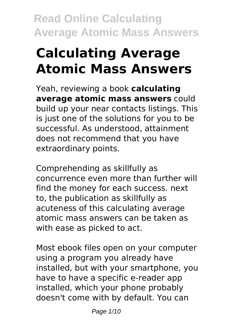# **Calculating Average Atomic Mass Answers**

Yeah, reviewing a book **calculating average atomic mass answers** could build up your near contacts listings. This is just one of the solutions for you to be successful. As understood, attainment does not recommend that you have extraordinary points.

Comprehending as skillfully as concurrence even more than further will find the money for each success. next to, the publication as skillfully as acuteness of this calculating average atomic mass answers can be taken as with ease as picked to act.

Most ebook files open on your computer using a program you already have installed, but with your smartphone, you have to have a specific e-reader app installed, which your phone probably doesn't come with by default. You can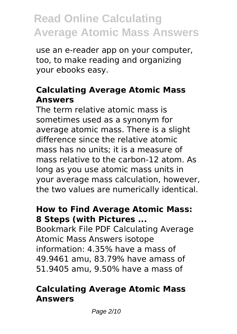use an e-reader app on your computer, too, to make reading and organizing your ebooks easy.

#### **Calculating Average Atomic Mass Answers**

The term relative atomic mass is sometimes used as a synonym for average atomic mass. There is a slight difference since the relative atomic mass has no units; it is a measure of mass relative to the carbon-12 atom. As long as you use atomic mass units in your average mass calculation, however, the two values are numerically identical.

#### **How to Find Average Atomic Mass: 8 Steps (with Pictures ...**

Bookmark File PDF Calculating Average Atomic Mass Answers isotope information: 4.35% have a mass of 49.9461 amu, 83.79% have amass of 51.9405 amu, 9.50% have a mass of

#### **Calculating Average Atomic Mass Answers**

Page 2/10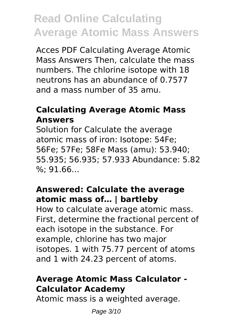Acces PDF Calculating Average Atomic Mass Answers Then, calculate the mass numbers. The chlorine isotope with 18 neutrons has an abundance of 0.7577 and a mass number of 35 amu.

### **Calculating Average Atomic Mass Answers**

Solution for Calculate the average atomic mass of iron: Isotope: 54Fe; 56Fe; 57Fe; 58Fe Mass (amu): 53.940; 55.935; 56.935; 57.933 Abundance: 5.82 %; 91.66…

#### **Answered: Calculate the average atomic mass of… | bartleby**

How to calculate average atomic mass. First, determine the fractional percent of each isotope in the substance. For example, chlorine has two major isotopes. 1 with 75.77 percent of atoms and 1 with 24.23 percent of atoms.

### **Average Atomic Mass Calculator - Calculator Academy**

Atomic mass is a weighted average.

Page 3/10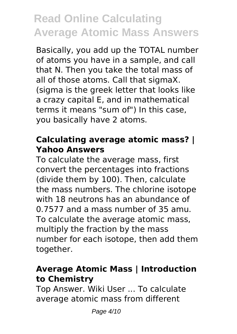Basically, you add up the TOTAL number of atoms you have in a sample, and call that N. Then you take the total mass of all of those atoms. Call that sigmaX. (sigma is the greek letter that looks like a crazy capital E, and in mathematical terms it means "sum of") In this case, you basically have 2 atoms.

#### **Calculating average atomic mass? | Yahoo Answers**

To calculate the average mass, first convert the percentages into fractions (divide them by 100). Then, calculate the mass numbers. The chlorine isotope with 18 neutrons has an abundance of 0.7577 and a mass number of 35 amu. To calculate the average atomic mass, multiply the fraction by the mass number for each isotope, then add them together.

#### **Average Atomic Mass | Introduction to Chemistry**

Top Answer. Wiki User ... To calculate average atomic mass from different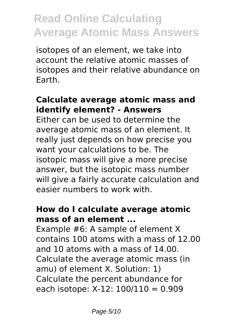isotopes of an element, we take into account the relative atomic masses of isotopes and their relative abundance on Earth.

#### **Calculate average atomic mass and identify element? - Answers**

Either can be used to determine the average atomic mass of an element. It really just depends on how precise you want your calculations to be. The isotopic mass will give a more precise answer, but the isotopic mass number will give a fairly accurate calculation and easier numbers to work with.

#### **How do I calculate average atomic mass of an element ...**

Example #6: A sample of element X contains 100 atoms with a mass of 12.00 and 10 atoms with a mass of 14.00. Calculate the average atomic mass (in amu) of element X. Solution: 1) Calculate the percent abundance for each isotope: X-12: 100/110 = 0.909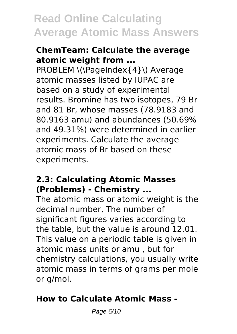#### **ChemTeam: Calculate the average atomic weight from ...**

PROBLEM \(\PageIndex{4}\) Average atomic masses listed by IUPAC are based on a study of experimental results. Bromine has two isotopes, 79 Br and 81 Br, whose masses (78.9183 and 80.9163 amu) and abundances (50.69% and 49.31%) were determined in earlier experiments. Calculate the average atomic mass of Br based on these experiments.

#### **2.3: Calculating Atomic Masses (Problems) - Chemistry ...**

The atomic mass or atomic weight is the decimal number, The number of significant figures varies according to the table, but the value is around 12.01. This value on a periodic table is given in atomic mass units or amu , but for chemistry calculations, you usually write atomic mass in terms of grams per mole or g/mol.

### **How to Calculate Atomic Mass -**

Page 6/10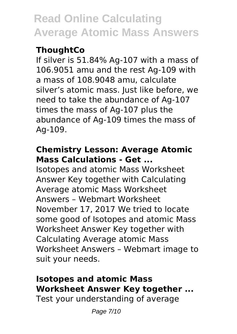### **ThoughtCo**

If silver is 51.84% Ag-107 with a mass of 106.9051 amu and the rest Ag-109 with a mass of 108.9048 amu, calculate silver's atomic mass. Just like before, we need to take the abundance of Ag-107 times the mass of Ag-107 plus the abundance of Ag-109 times the mass of Ag-109.

#### **Chemistry Lesson: Average Atomic Mass Calculations - Get ...**

Isotopes and atomic Mass Worksheet Answer Key together with Calculating Average atomic Mass Worksheet Answers – Webmart Worksheet November 17, 2017 We tried to locate some good of Isotopes and atomic Mass Worksheet Answer Key together with Calculating Average atomic Mass Worksheet Answers – Webmart image to suit your needs.

### **Isotopes and atomic Mass Worksheet Answer Key together ...**

Test your understanding of average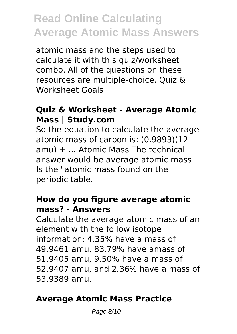atomic mass and the steps used to calculate it with this quiz/worksheet combo. All of the questions on these resources are multiple-choice. Quiz & Worksheet Goals

#### **Quiz & Worksheet - Average Atomic Mass | Study.com**

So the equation to calculate the average atomic mass of carbon is: (0.9893)(12 amu) + ... Atomic Mass The technical answer would be average atomic mass Is the "atomic mass found on the periodic table.

#### **How do you figure average atomic mass? - Answers**

Calculate the average atomic mass of an element with the follow isotope information: 4.35% have a mass of 49.9461 amu, 83.79% have amass of 51.9405 amu, 9.50% have a mass of 52.9407 amu, and 2.36% have a mass of 53.9389 amu.

#### **Average Atomic Mass Practice**

Page 8/10